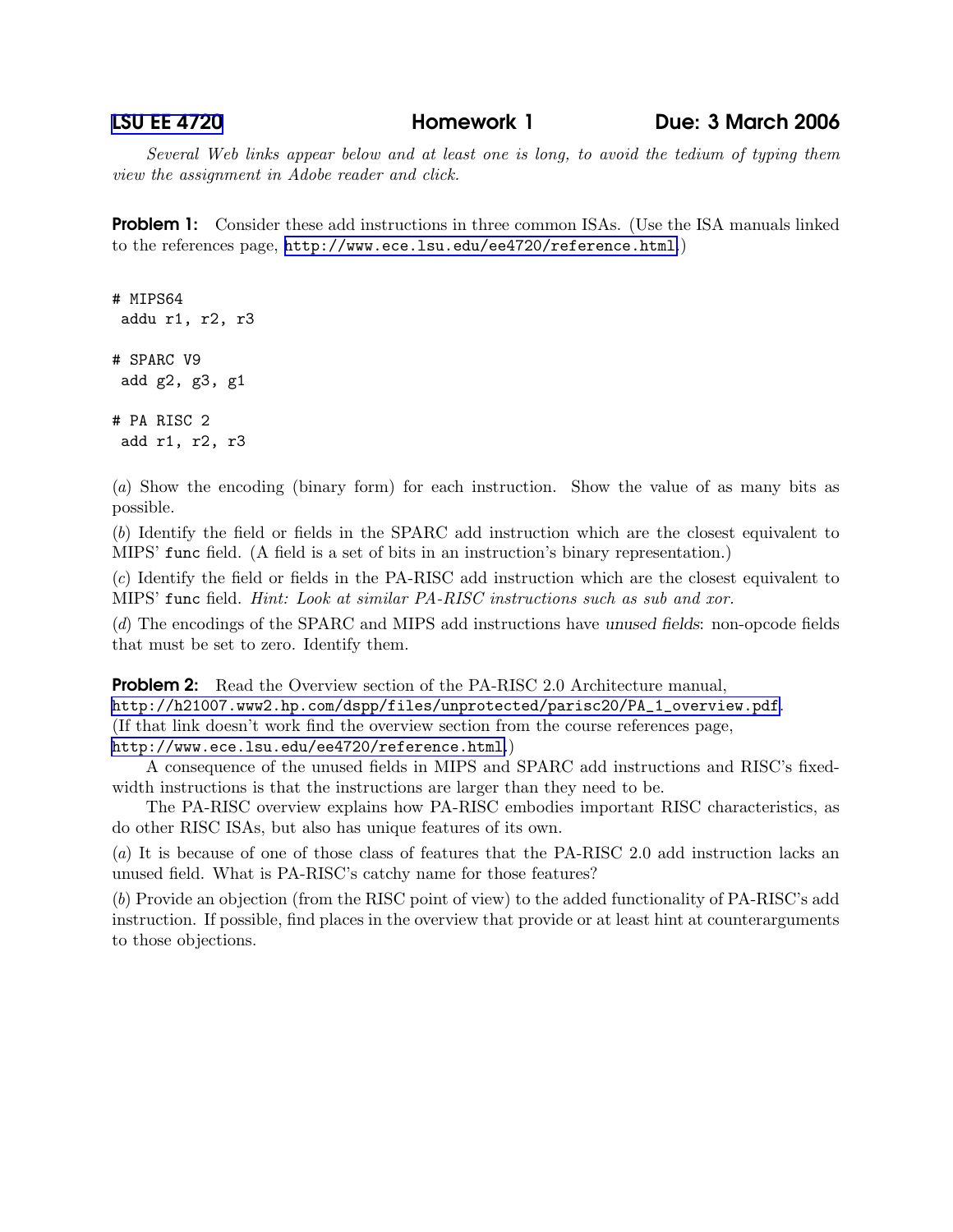Several Web links appear below and at least one is long, to avoid the tedium of typing them view the assignment in Adobe reader and click.

**Problem 1:** Consider these add instructions in three common ISAs. (Use the ISA manuals linked to the references page, <http://www.ece.lsu.edu/ee4720/reference.html>.)

```
# MIPS64
 addu r1, r2, r3
# SPARC V9
 add g2, g3, g1
# PA RISC 2
 add r1, r2, r3
```
(a) Show the encoding (binary form) for each instruction. Show the value of as many bits as possible.

(b) Identify the field or fields in the SPARC add instruction which are the closest equivalent to MIPS' func field. (A field is a set of bits in an instruction's binary representation.)

(c) Identify the field or fields in the PA-RISC add instruction which are the closest equivalent to MIPS' func field. Hint: Look at similar PA-RISC instructions such as sub and xor.

(d) The encodings of the SPARC and MIPS add instructions have unused fields: non-opcode fields that must be set to zero. Identify them.

## **Problem 2:** Read the Overview section of the PA-RISC 2.0 Architecture manual, [http://h21007.www2.hp.com/dspp/files/unprotected/parisc20/PA\\_1\\_overview.pdf](http://h21007.www2.hp.com/dspp/files/unprotected/parisc20/PA_1_overview.pdf). (If that link doesn't work find the overview section from the course references page, <http://www.ece.lsu.edu/ee4720/reference.html>.)

A consequence of the unused fields in MIPS and SPARC add instructions and RISC's fixedwidth instructions is that the instructions are larger than they need to be.

The PA-RISC overview explains how PA-RISC embodies important RISC characteristics, as do other RISC ISAs, but also has unique features of its own.

(a) It is because of one of those class of features that the PA-RISC 2.0 add instruction lacks an unused field. What is PA-RISC's catchy name for those features?

(b) Provide an objection (from the RISC point of view) to the added functionality of PA-RISC's add instruction. If possible, find places in the overview that provide or at least hint at counterarguments to those objections.